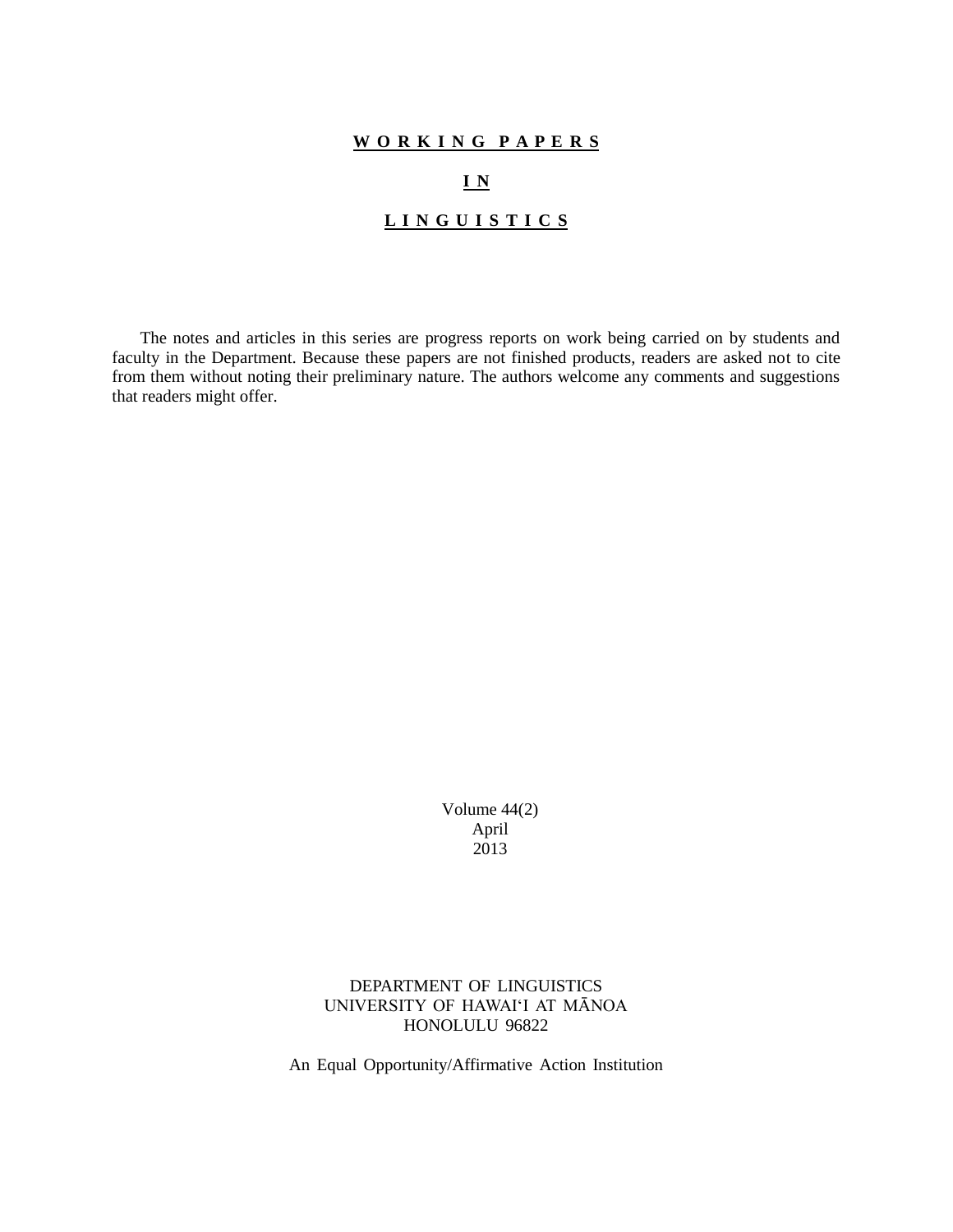# **W O R K I N G P A P E R S**

# **I N**

# **L I N G U I S T I C S**

The notes and articles in this series are progress reports on work being carried on by students and faculty in the Department. Because these papers are not finished products, readers are asked not to cite from them without noting their preliminary nature. The authors welcome any comments and suggestions that readers might offer.

> Volume 44(2) April 2013

# DEPARTMENT OF LINGUISTICS UNIVERSITY OF HAWAI'I AT MĀNOA HONOLULU 96822

An Equal Opportunity/Affirmative Action Institution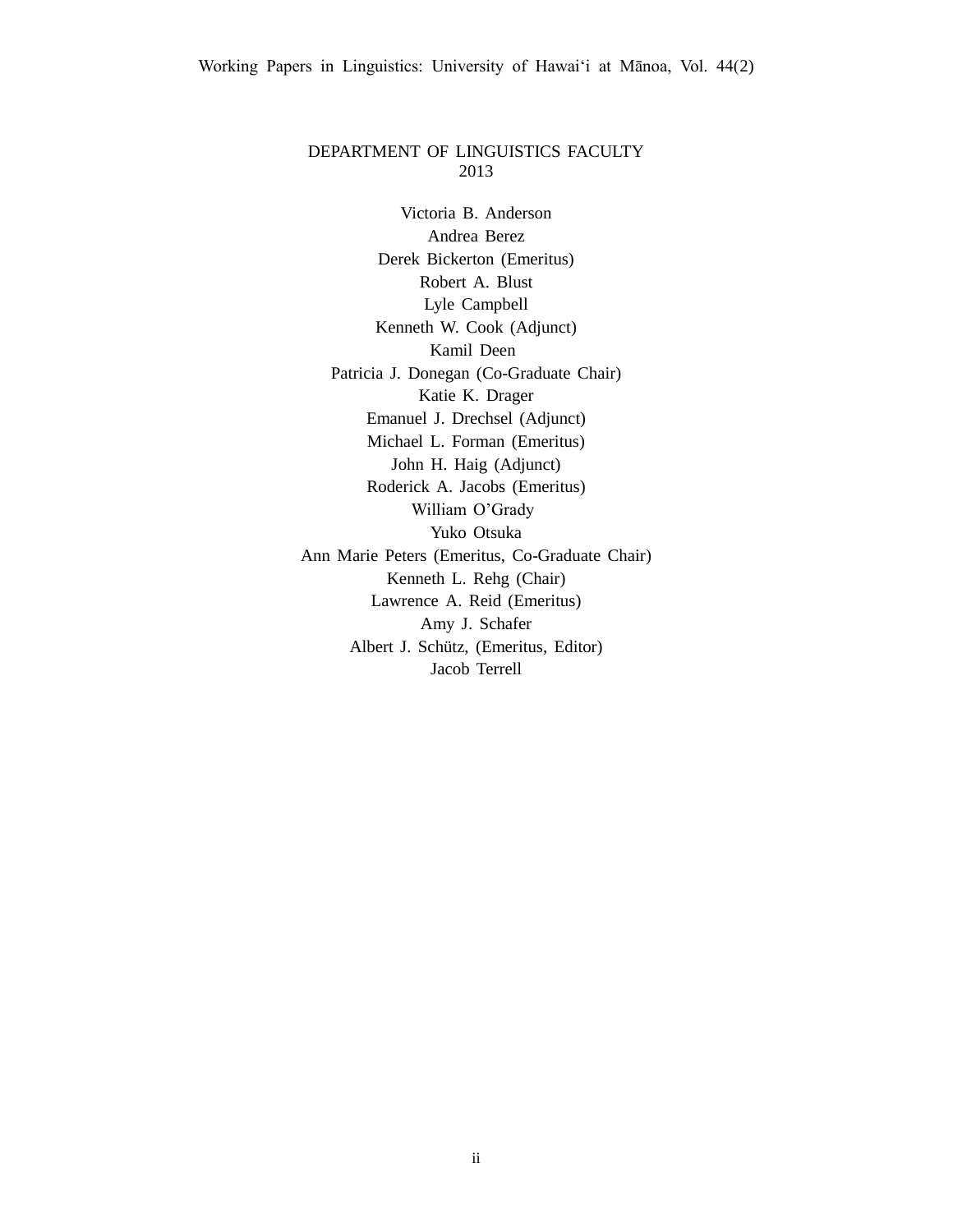## DEPARTMENT OF LINGUISTICS FACULTY 2013

Victoria B. Anderson Andrea Berez Derek Bickerton (Emeritus) Robert A. Blust Lyle Campbell Kenneth W. Cook (Adjunct) Kamil Deen Patricia J. Donegan (Co-Graduate Chair) Katie K. Drager Emanuel J. Drechsel (Adjunct) Michael L. Forman (Emeritus) John H. Haig (Adjunct) Roderick A. Jacobs (Emeritus) William O'Grady Yuko Otsuka Ann Marie Peters (Emeritus, Co-Graduate Chair) Kenneth L. Rehg (Chair) Lawrence A. Reid (Emeritus) Amy J. Schafer Albert J. Schütz, (Emeritus, Editor) Jacob Terrell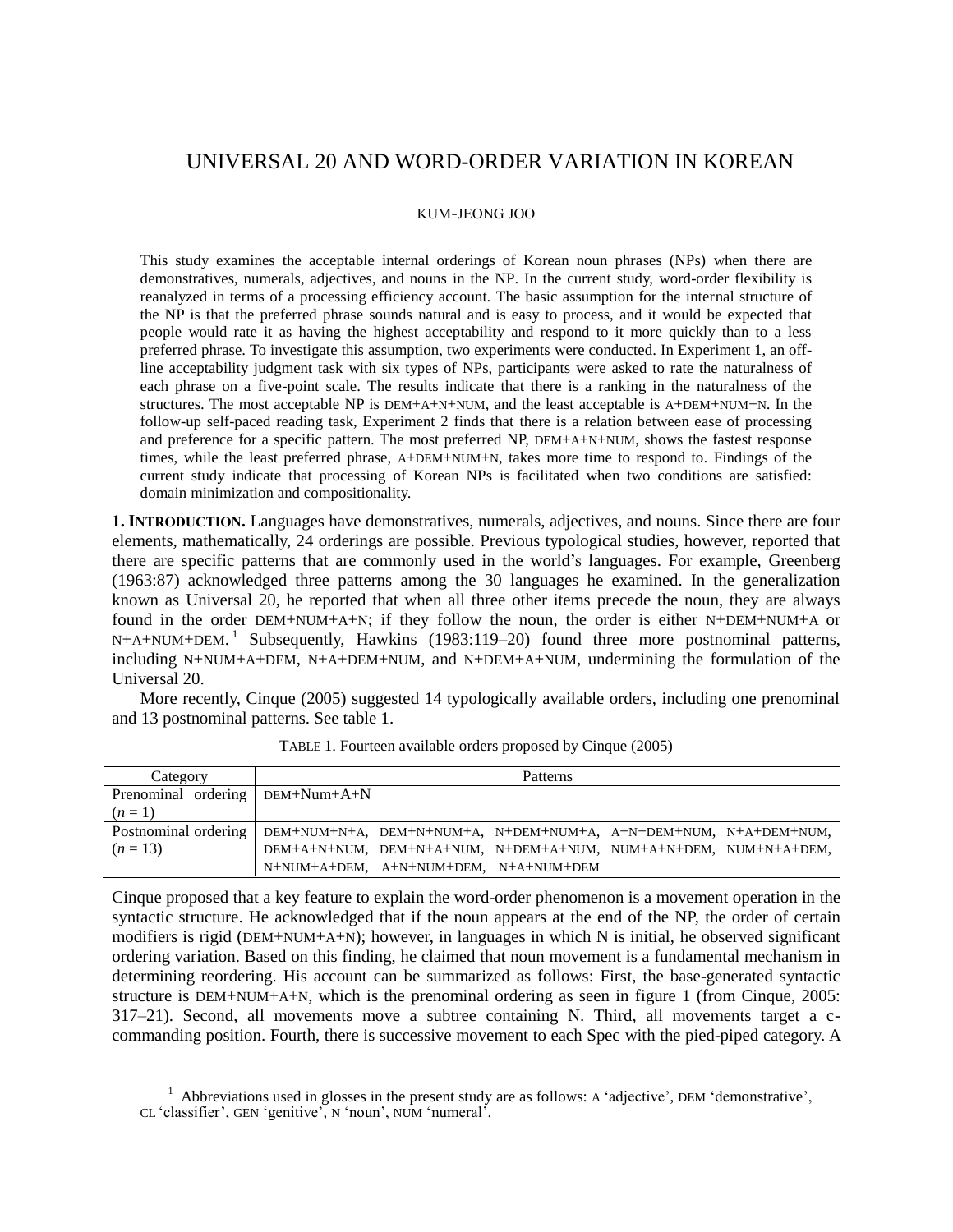# UNIVERSAL 20 AND WORD-ORDER VARIATION IN KOREAN

#### KUM-JEONG JOO

This study examines the acceptable internal orderings of Korean noun phrases (NPs) when there are demonstratives, numerals, adjectives, and nouns in the NP. In the current study, word-order flexibility is reanalyzed in terms of a processing efficiency account. The basic assumption for the internal structure of the NP is that the preferred phrase sounds natural and is easy to process, and it would be expected that people would rate it as having the highest acceptability and respond to it more quickly than to a less preferred phrase. To investigate this assumption, two experiments were conducted. In Experiment 1, an offline acceptability judgment task with six types of NPs, participants were asked to rate the naturalness of each phrase on a five-point scale. The results indicate that there is a ranking in the naturalness of the structures. The most acceptable NP is DEM+A+N+NUM, and the least acceptable is A+DEM+NUM+N. In the follow-up self-paced reading task, Experiment 2 finds that there is a relation between ease of processing and preference for a specific pattern. The most preferred NP, DEM+A+N+NUM, shows the fastest response times, while the least preferred phrase, A+DEM+NUM+N, takes more time to respond to. Findings of the current study indicate that processing of Korean NPs is facilitated when two conditions are satisfied: domain minimization and compositionality.

**1. INTRODUCTION.** Languages have demonstratives, numerals, adjectives, and nouns. Since there are four elements, mathematically, 24 orderings are possible. Previous typological studies, however, reported that there are specific patterns that are commonly used in the world's languages. For example, Greenberg (1963:87) acknowledged three patterns among the 30 languages he examined. In the generalization known as Universal 20, he reported that when all three other items precede the noun, they are always found in the order DEM+NUM+A+N; if they follow the noun, the order is either N+DEM+NUM+A or N+A+NUM+DEM.<sup>1</sup> Subsequently, Hawkins (1983:119–20) found three more postnominal patterns, including N+NUM+A+DEM, N+A+DEM+NUM, and N+DEM+A+NUM, undermining the formulation of the Universal 20.

More recently, Cinque (2005) suggested 14 typologically available orders, including one prenominal and 13 postnominal patterns. See table 1.

| Category             |                                                                  | Patterns |  |
|----------------------|------------------------------------------------------------------|----------|--|
| Prenominal ordering  | $DEM+Num+A+N$                                                    |          |  |
| $(n=1)$              |                                                                  |          |  |
| Postnominal ordering | DEM+NUM+N+A, DEM+N+NUM+A, N+DEM+NUM+A, A+N+DEM+NUM, N+A+DEM+NUM, |          |  |
| $(n=13)$             | DEM+A+N+NUM, DEM+N+A+NUM, N+DEM+A+NUM, NUM+A+N+DEM, NUM+N+A+DEM, |          |  |
|                      | N+NUM+A+DEM, A+N+NUM+DEM, N+A+NUM+DEM                            |          |  |

TABLE 1. Fourteen available orders proposed by Cinque (2005)

Cinque proposed that a key feature to explain the word-order phenomenon is a movement operation in the syntactic structure. He acknowledged that if the noun appears at the end of the NP, the order of certain modifiers is rigid (DEM+NUM+A+N); however, in languages in which N is initial, he observed significant ordering variation. Based on this finding, he claimed that noun movement is a fundamental mechanism in determining reordering. His account can be summarized as follows: First, the base-generated syntactic structure is DEM+NUM+A+N, which is the prenominal ordering as seen in figure 1 (from Cinque, 2005: 317–21). Second, all movements move a subtree containing N. Third, all movements target a ccommanding position. Fourth, there is successive movement to each Spec with the pied-piped category. A

 $\overline{a}$ 

<sup>&</sup>lt;sup>1</sup> Abbreviations used in glosses in the present study are as follows: A 'adjective', DEM 'demonstrative', CL 'classifier', GEN 'genitive', N 'noun', NUM 'numeral'.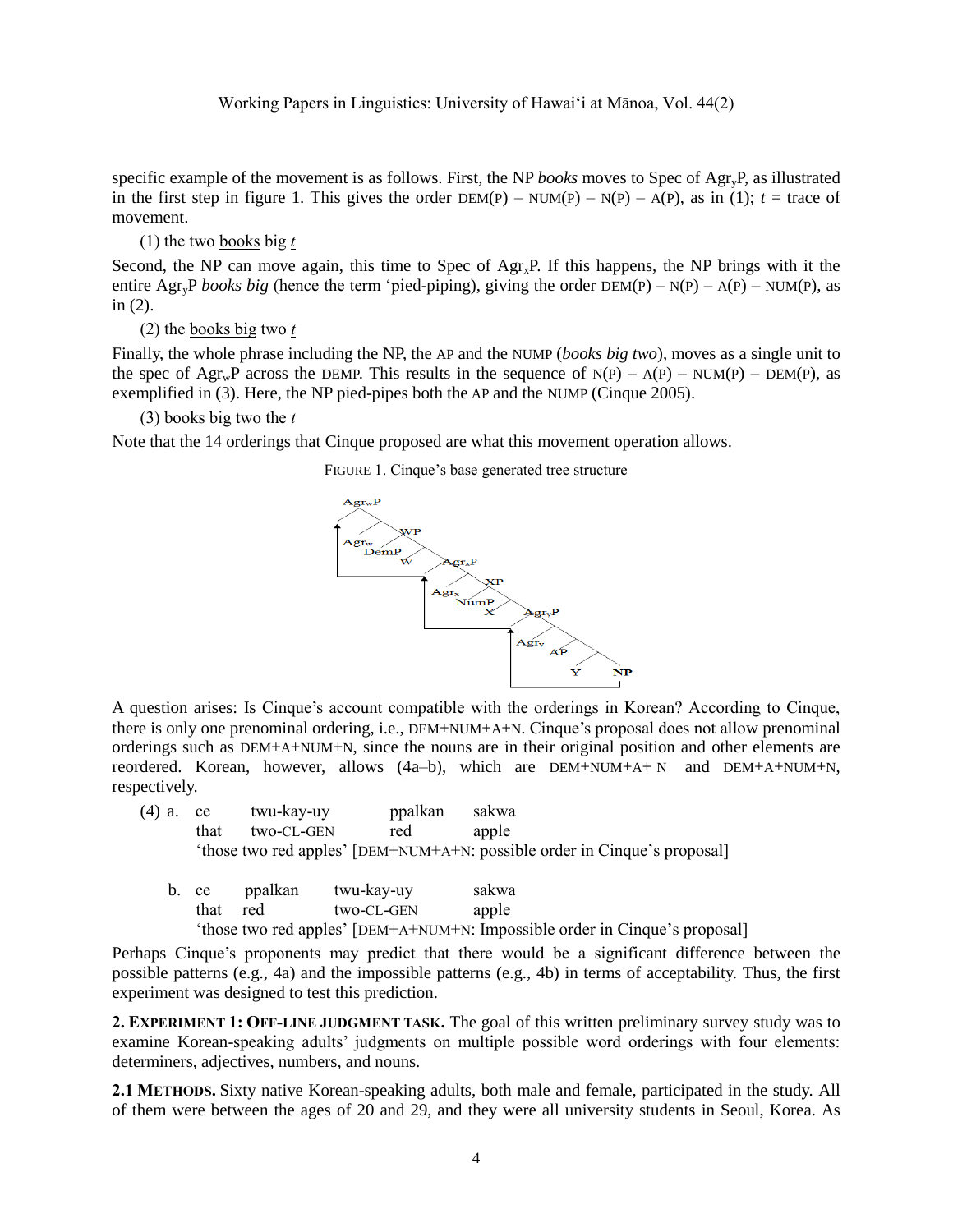specific example of the movement is as follows. First, the NP *books* moves to Spec of AgryP, as illustrated in the first step in figure 1. This gives the order  $DEM(P) - NUM(P) - N(P) - A(P)$ , as in (1);  $t = \text{trace of }$ movement.

(1) the two books big *t*

Second, the NP can move again, this time to Spec of  $Agr_xP$ . If this happens, the NP brings with it the entire Agr<sub>y</sub>P *books big* (hence the term 'pied-piping), giving the order  $DEM(P) - N(P) - A(P) - NUM(P)$ , as in (2).

(2) the books big two *t*

Finally, the whole phrase including the NP, the AP and the NUMP (*books big two*), moves as a single unit to the spec of  $\text{Agr}_w\text{P}$  across the DEMP. This results in the sequence of N(P) – A(P) – NUM(P) – DEM(P), as exemplified in (3). Here, the NP pied-pipes both the AP and the NUMP (Cinque 2005).

## (3) books big two the *t*

Note that the 14 orderings that Cinque proposed are what this movement operation allows.

FIGURE 1. Cinque's base generated tree structure



A question arises: Is Cinque's account compatible with the orderings in Korean? According to Cinque, there is only one prenominal ordering, i.e., DEM+NUM+A+N. Cinque's proposal does not allow prenominal orderings such as DEM+A+NUM+N, since the nouns are in their original position and other elements are reordered. Korean, however, allows (4a–b), which are DEM+NUM+A+ N and DEM+A+NUM+N, respectively.

| (4) a. ce |      | twu-kav-uv | ppalkan | sakwa                                                                     |
|-----------|------|------------|---------|---------------------------------------------------------------------------|
|           | that | two-CL-GEN | red     | apple                                                                     |
|           |      |            |         | 'those two red apples' [DEM+NUM+A+N: possible order in Cinque's proposal] |

| b. ce | ppalkan | twu-kay-uy | sakwa                                                                       |
|-------|---------|------------|-----------------------------------------------------------------------------|
| that  | red     | two-CL-GEN | apple                                                                       |
|       |         |            | 'those two red apples' [DEM+A+NUM+N: Impossible order in Cinque's proposal] |

Perhaps Cinque's proponents may predict that there would be a significant difference between the possible patterns (e.g., 4a) and the impossible patterns (e.g., 4b) in terms of acceptability. Thus, the first experiment was designed to test this prediction.

**2. EXPERIMENT 1: OFF-LINE JUDGMENT TASK.** The goal of this written preliminary survey study was to examine Korean-speaking adults' judgments on multiple possible word orderings with four elements: determiners, adjectives, numbers, and nouns.

**2.1 METHODS.** Sixty native Korean-speaking adults, both male and female, participated in the study. All of them were between the ages of 20 and 29, and they were all university students in Seoul, Korea. As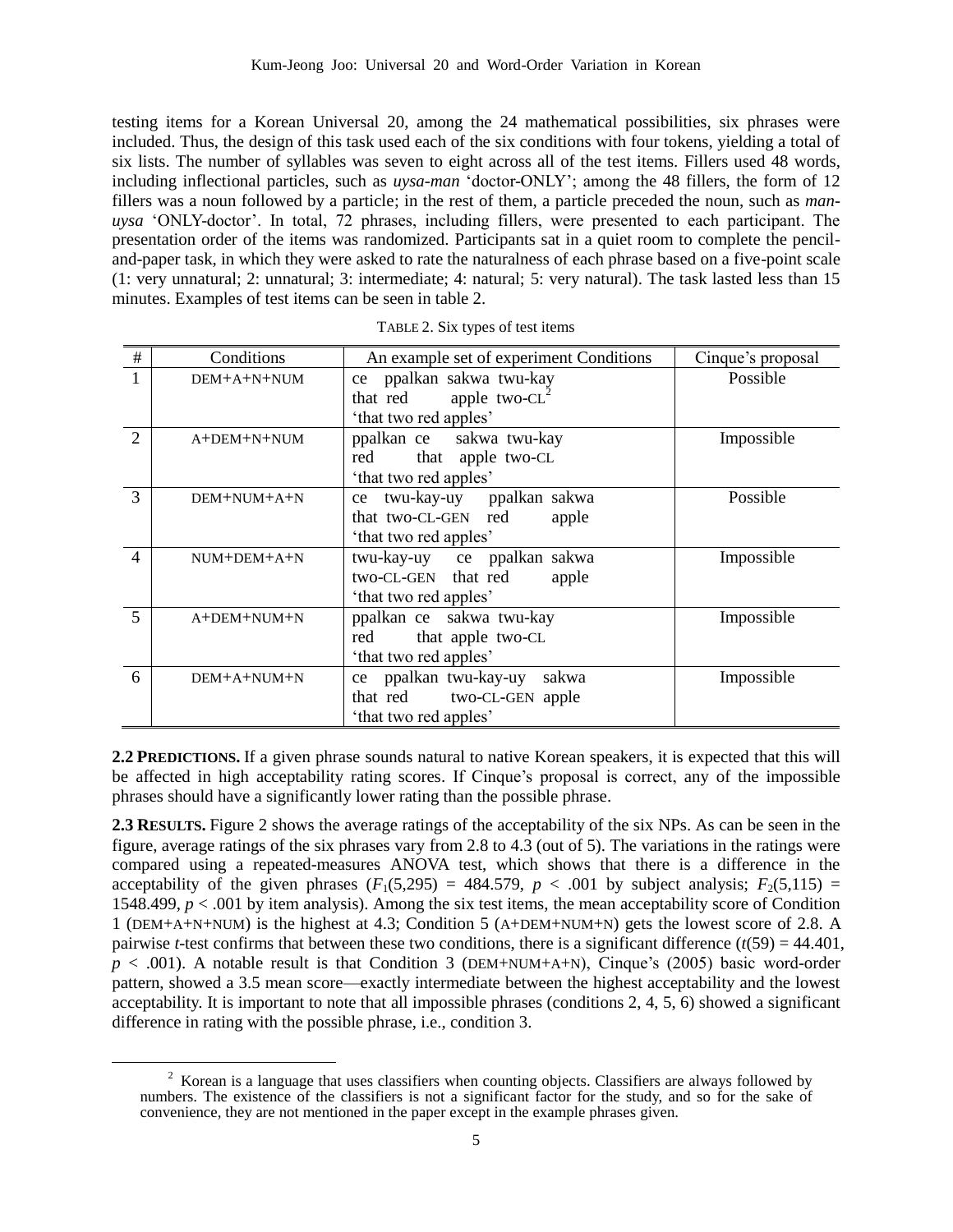testing items for a Korean Universal 20, among the 24 mathematical possibilities, six phrases were included. Thus, the design of this task used each of the six conditions with four tokens, yielding a total of six lists. The number of syllables was seven to eight across all of the test items. Fillers used 48 words, including inflectional particles, such as *uysa-man* 'doctor-ONLY'; among the 48 fillers, the form of 12 fillers was a noun followed by a particle; in the rest of them, a particle preceded the noun, such as *manuysa* 'ONLY-doctor'. In total, 72 phrases, including fillers, were presented to each participant. The presentation order of the items was randomized. Participants sat in a quiet room to complete the penciland-paper task, in which they were asked to rate the naturalness of each phrase based on a five-point scale (1: very unnatural; 2: unnatural; 3: intermediate; 4: natural; 5: very natural). The task lasted less than 15 minutes. Examples of test items can be seen in table 2.

| #              | Conditions  | An example set of experiment Conditions                   | Cinque's proposal |
|----------------|-------------|-----------------------------------------------------------|-------------------|
|                | DEM+A+N+NUM | ce ppalkan sakwa twu-kay<br>that red<br>apple two- $CL^2$ | Possible          |
|                |             | 'that two red apples'                                     |                   |
| $\mathfrak{D}$ | A+DEM+N+NUM | ppalkan ce sakwa twu-kay                                  | Impossible        |
|                |             | that apple two-CL<br>red<br>'that two red apples'         |                   |
| 3              | DEM+NUM+A+N | ce twu-kay-uy ppalkan sakwa                               | Possible          |
|                |             | that two-CL-GEN red<br>apple<br>'that two red apples'     |                   |
| 4              | NUM+DEM+A+N | twu-kay-uy ce ppalkan sakwa                               | Impossible        |
|                |             | two-CL-GEN that red<br>apple                              |                   |
|                |             | 'that two red apples'                                     |                   |
| $\overline{5}$ | A+DEM+NUM+N | ppalkan ce sakwa twu-kay                                  | Impossible        |
|                |             | that apple two-CL<br>red                                  |                   |
|                |             | 'that two red apples'                                     |                   |
| 6              | DEM+A+NUM+N | ce ppalkan twu-kay-uy<br>sakwa                            | Impossible        |
|                |             | that red two-CL-GEN apple                                 |                   |
|                |             | 'that two red apples'                                     |                   |

| TABLE 2. Six types of test items |  |  |  |  |  |
|----------------------------------|--|--|--|--|--|
|----------------------------------|--|--|--|--|--|

**2.2 PREDICTIONS.** If a given phrase sounds natural to native Korean speakers, it is expected that this will be affected in high acceptability rating scores. If Cinque's proposal is correct, any of the impossible phrases should have a significantly lower rating than the possible phrase.

**2.3 RESULTS.** Figure 2 shows the average ratings of the acceptability of the six NPs. As can be seen in the figure, average ratings of the six phrases vary from 2.8 to 4.3 (out of 5). The variations in the ratings were compared using a repeated-measures ANOVA test, which shows that there is a difference in the acceptability of the given phrases  $(F_1(5,295) = 484.579, p < .001$  by subject analysis;  $F_2(5,115) =$ 1548.499, *p* < .001 by item analysis). Among the six test items, the mean acceptability score of Condition 1 (DEM+A+N+NUM) is the highest at 4.3; Condition 5 (A+DEM+NUM+N) gets the lowest score of 2.8. A pairwise *t*-test confirms that between these two conditions, there is a significant difference  $(t(59) = 44.401$ ,  $p < .001$ ). A notable result is that Condition 3 (DEM+NUM+A+N), Cinque's (2005) basic word-order pattern, showed a 3.5 mean score—exactly intermediate between the highest acceptability and the lowest acceptability. It is important to note that all impossible phrases (conditions 2, 4, 5, 6) showed a significant difference in rating with the possible phrase, i.e., condition 3.

<sup>&</sup>lt;sup>2</sup> Korean is a language that uses classifiers when counting objects. Classifiers are always followed by numbers. The existence of the classifiers is not a significant factor for the study, and so for the sake of convenience, they are not mentioned in the paper except in the example phrases given.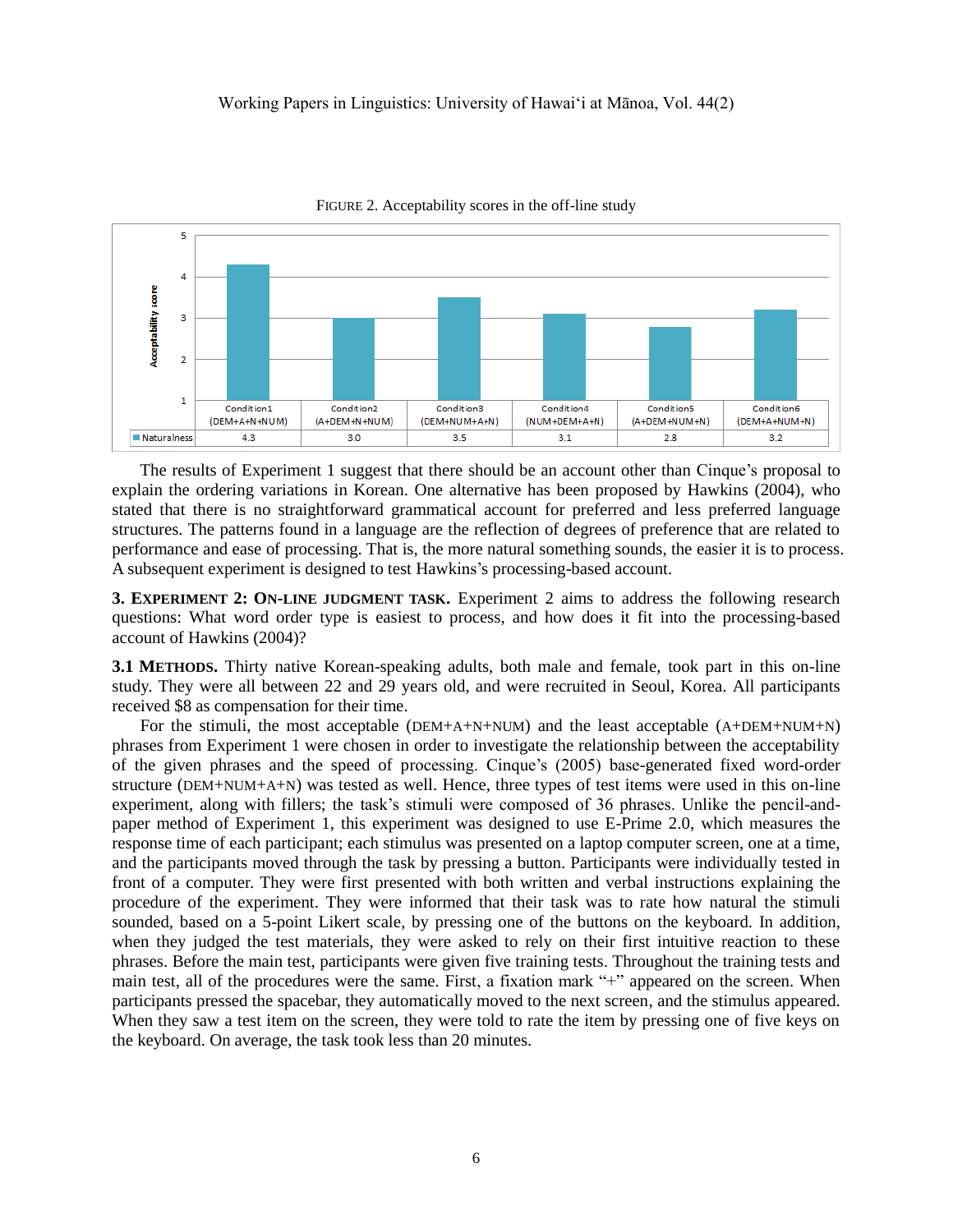

FIGURE 2. Acceptability scores in the off-line study

The results of Experiment 1 suggest that there should be an account other than Cinque's proposal to explain the ordering variations in Korean. One alternative has been proposed by Hawkins (2004), who stated that there is no straightforward grammatical account for preferred and less preferred language structures. The patterns found in a language are the reflection of degrees of preference that are related to performance and ease of processing. That is, the more natural something sounds, the easier it is to process. A subsequent experiment is designed to test Hawkins's processing-based account.

**3. EXPERIMENT 2: ON-LINE JUDGMENT TASK.** Experiment 2 aims to address the following research questions: What word order type is easiest to process, and how does it fit into the processing-based account of Hawkins (2004)?

**3.1 METHODS.** Thirty native Korean-speaking adults, both male and female, took part in this on-line study. They were all between 22 and 29 years old, and were recruited in Seoul, Korea. All participants received \$8 as compensation for their time.

For the stimuli, the most acceptable (DEM+A+N+NUM) and the least acceptable (A+DEM+NUM+N) phrases from Experiment 1 were chosen in order to investigate the relationship between the acceptability of the given phrases and the speed of processing. Cinque's (2005) base-generated fixed word-order structure (DEM+NUM+A+N) was tested as well. Hence, three types of test items were used in this on-line experiment, along with fillers; the task's stimuli were composed of 36 phrases. Unlike the pencil-andpaper method of Experiment 1, this experiment was designed to use E-Prime 2.0, which measures the response time of each participant; each stimulus was presented on a laptop computer screen, one at a time, and the participants moved through the task by pressing a button. Participants were individually tested in front of a computer. They were first presented with both written and verbal instructions explaining the procedure of the experiment. They were informed that their task was to rate how natural the stimuli sounded, based on a 5-point Likert scale, by pressing one of the buttons on the keyboard. In addition, when they judged the test materials, they were asked to rely on their first intuitive reaction to these phrases. Before the main test, participants were given five training tests. Throughout the training tests and main test, all of the procedures were the same. First, a fixation mark "+" appeared on the screen. When participants pressed the spacebar, they automatically moved to the next screen, and the stimulus appeared. When they saw a test item on the screen, they were told to rate the item by pressing one of five keys on the keyboard. On average, the task took less than 20 minutes.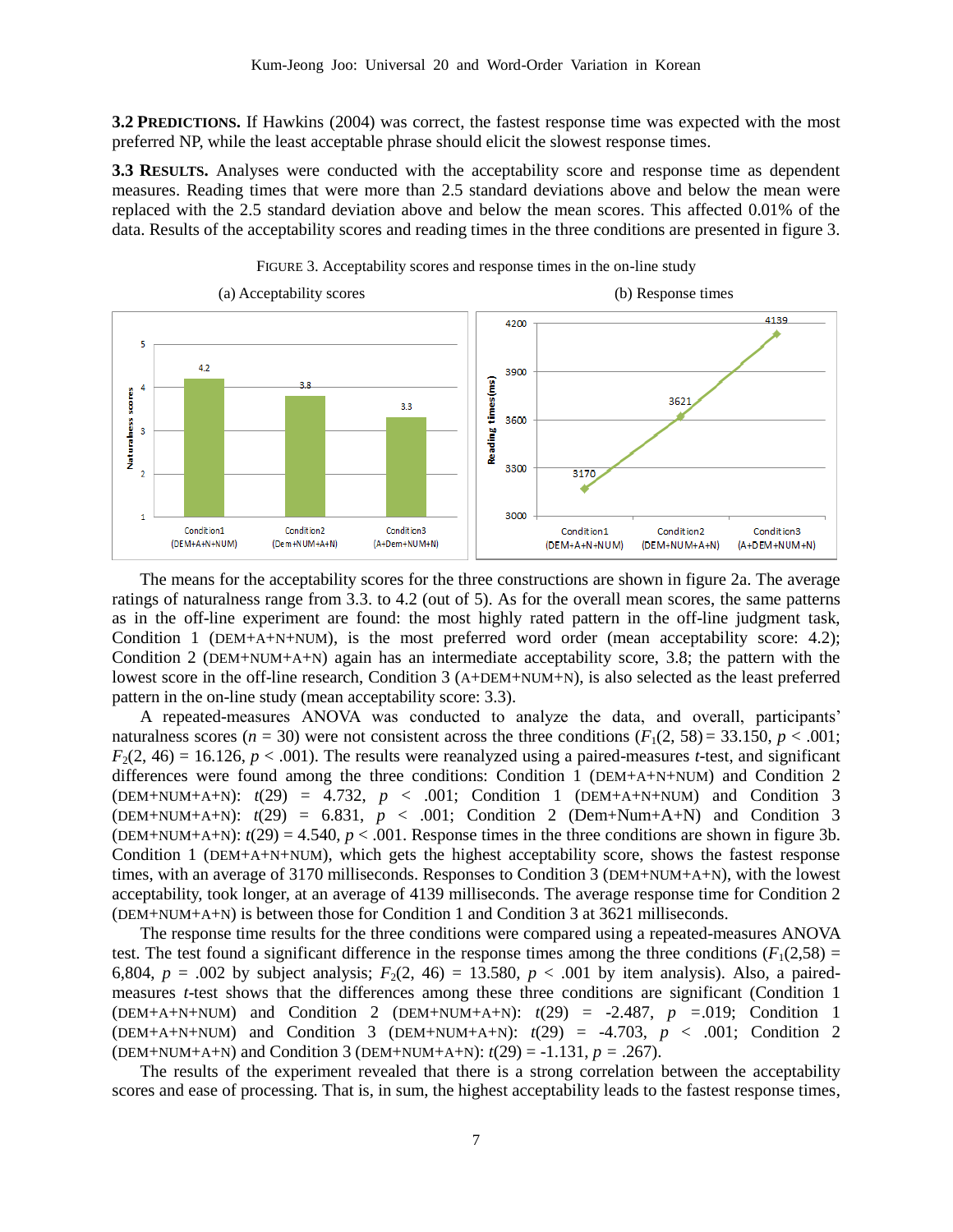**3.2 PREDICTIONS.** If Hawkins (2004) was correct, the fastest response time was expected with the most preferred NP, while the least acceptable phrase should elicit the slowest response times.

**3.3 RESULTS.** Analyses were conducted with the acceptability score and response time as dependent measures. Reading times that were more than 2.5 standard deviations above and below the mean were replaced with the 2.5 standard deviation above and below the mean scores. This affected 0.01% of the data. Results of the acceptability scores and reading times in the three conditions are presented in figure 3.





The means for the acceptability scores for the three constructions are shown in figure 2a. The average ratings of naturalness range from 3.3. to 4.2 (out of 5). As for the overall mean scores, the same patterns as in the off-line experiment are found: the most highly rated pattern in the off-line judgment task, Condition 1 (DEM+A+N+NUM), is the most preferred word order (mean acceptability score: 4.2); Condition 2 (DEM+NUM+A+N) again has an intermediate acceptability score, 3.8; the pattern with the lowest score in the off-line research, Condition 3 (A+DEM+NUM+N), is also selected as the least preferred pattern in the on-line study (mean acceptability score: 3.3).

A repeated-measures ANOVA was conducted to analyze the data, and overall, participants' naturalness scores ( $n = 30$ ) were not consistent across the three conditions ( $F_1(2, 58) = 33.150$ ,  $p < .001$ ;  $F_2(2, 46) = 16.126$ ,  $p < .001$ ). The results were reanalyzed using a paired-measures *t*-test, and significant differences were found among the three conditions: Condition 1 (DEM+A+N+NUM) and Condition 2 (DEM+NUM+A+N):  $t(29) = 4.732$ ,  $p < .001$ ; Condition 1 (DEM+A+N+NUM) and Condition 3  $(DEM+NUM+A+N):$   $t(29) = 6.831, p < .001$ ; Condition 2  $(Dem+Num+A+N)$  and Condition 3 (DEM+NUM+A+N):  $t(29) = 4.540$ ,  $p < .001$ . Response times in the three conditions are shown in figure 3b. Condition 1 (DEM+A+N+NUM), which gets the highest acceptability score, shows the fastest response times, with an average of 3170 milliseconds. Responses to Condition 3 (DEM+NUM+A+N), with the lowest acceptability, took longer, at an average of 4139 milliseconds. The average response time for Condition 2 (DEM+NUM+A+N) is between those for Condition 1 and Condition 3 at 3621 milliseconds.

The response time results for the three conditions were compared using a repeated-measures ANOVA test. The test found a significant difference in the response times among the three conditions  $(F_1(2,58) =$ 6,804,  $p = .002$  by subject analysis;  $F_2(2, 46) = 13.580$ ,  $p < .001$  by item analysis). Also, a pairedmeasures *t*-test shows that the differences among these three conditions are significant (Condition 1 (DEM+A+N+NUM) and Condition 2 (DEM+NUM+A+N): *t*(29) = -2.487, *p =*.019; Condition 1 (DEM+A+N+NUM) and Condition 3 (DEM+NUM+A+N): *t*(29) = -4.703, *p* < .001; Condition 2 (DEM+NUM+A+N) and Condition 3 (DEM+NUM+A+N): *t*(29) = -1.131, *p =* .267).

The results of the experiment revealed that there is a strong correlation between the acceptability scores and ease of processing. That is, in sum, the highest acceptability leads to the fastest response times,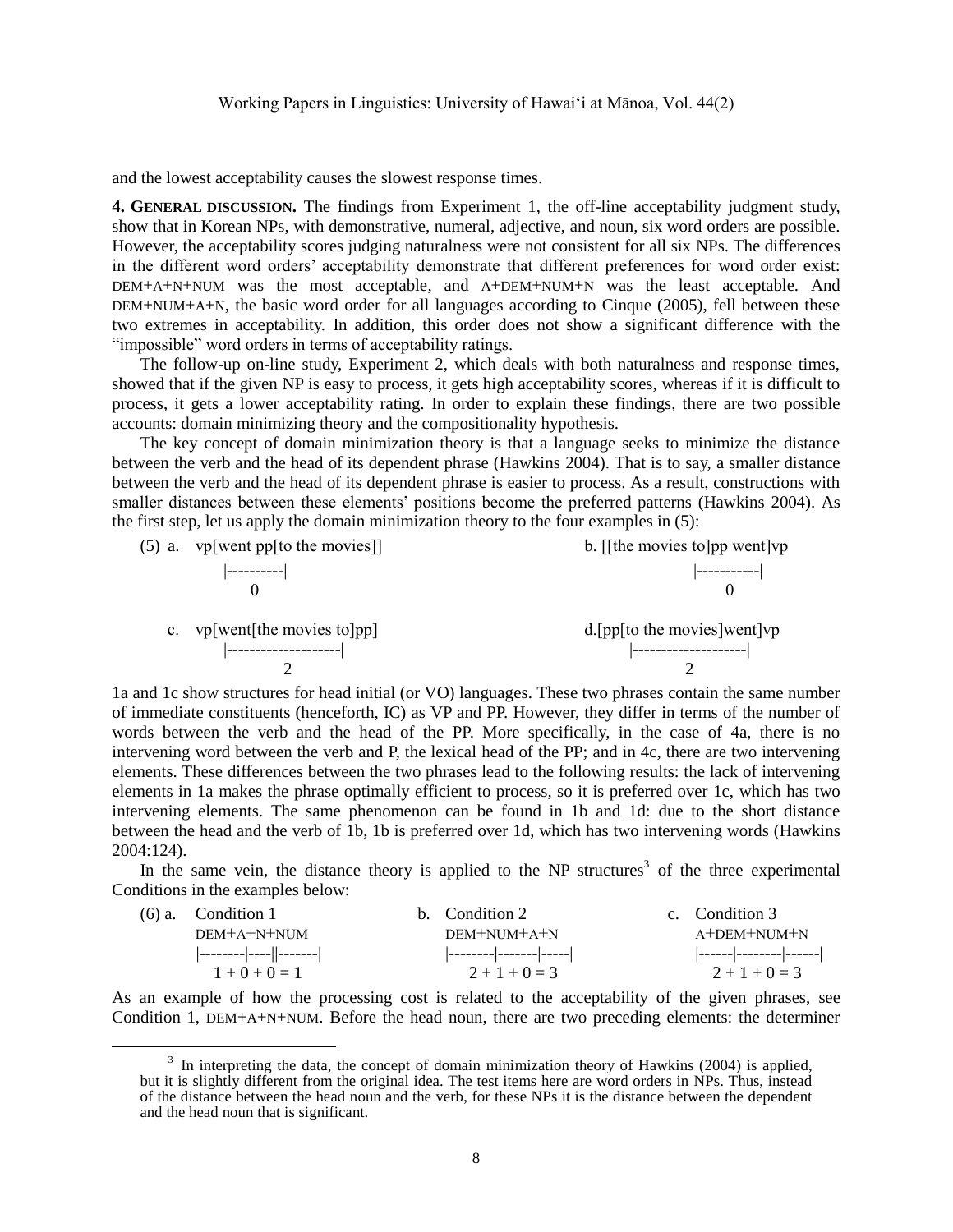and the lowest acceptability causes the slowest response times.

**4. GENERAL DISCUSSION.** The findings from Experiment 1, the off-line acceptability judgment study, show that in Korean NPs, with demonstrative, numeral, adjective, and noun, six word orders are possible. However, the acceptability scores judging naturalness were not consistent for all six NPs. The differences in the different word orders' acceptability demonstrate that different preferences for word order exist: DEM+A+N+NUM was the most acceptable, and A+DEM+NUM+N was the least acceptable. And DEM+NUM+A+N, the basic word order for all languages according to Cinque (2005), fell between these two extremes in acceptability. In addition, this order does not show a significant difference with the "impossible" word orders in terms of acceptability ratings.

The follow-up on-line study, Experiment 2, which deals with both naturalness and response times, showed that if the given NP is easy to process, it gets high acceptability scores, whereas if it is difficult to process, it gets a lower acceptability rating. In order to explain these findings, there are two possible accounts: domain minimizing theory and the compositionality hypothesis.

The key concept of domain minimization theory is that a language seeks to minimize the distance between the verb and the head of its dependent phrase (Hawkins 2004). That is to say, a smaller distance between the verb and the head of its dependent phrase is easier to process. As a result, constructions with smaller distances between these elements' positions become the preferred patterns (Hawkins 2004). As the first step, let us apply the domain minimization theory to the four examples in (5):

| $(5)$ a. vp[went pp[to the movies]] | b. [[the movies to]pp went]vp     |
|-------------------------------------|-----------------------------------|
|                                     |                                   |
|                                     |                                   |
|                                     |                                   |
| c. $vp[went[the movies to]pp]$      | $d$ . [pp[to the movies] went] vp |
|                                     |                                   |
|                                     |                                   |

1a and 1c show structures for head initial (or VO) languages. These two phrases contain the same number of immediate constituents (henceforth, IC) as VP and PP. However, they differ in terms of the number of words between the verb and the head of the PP. More specifically, in the case of 4a, there is no intervening word between the verb and P, the lexical head of the PP; and in 4c, there are two intervening elements. These differences between the two phrases lead to the following results: the lack of intervening elements in 1a makes the phrase optimally efficient to process, so it is preferred over 1c, which has two intervening elements. The same phenomenon can be found in 1b and 1d: due to the short distance between the head and the verb of 1b, 1b is preferred over 1d, which has two intervening words (Hawkins 2004:124).

In the same vein, the distance theory is applied to the NP structures<sup>3</sup> of the three experimental Conditions in the examples below:

| $(6)$ a. Condition 1 | b. Condition 2         | c. Condition 3         |
|----------------------|------------------------|------------------------|
| DEM+A+N+NUM          | DEM+NUM+A+N            | A+DEM+NUM+N            |
|                      | -------- ------- ----- | ------ -------- ------ |
| $1 + 0 + 0 = 1$      | $2+1+0=3$              | $2+1+0=3$              |

As an example of how the processing cost is related to the acceptability of the given phrases, see Condition 1, DEM+A+N+NUM. Before the head noun, there are two preceding elements: the determiner

 $\overline{a}$ 

 $3$  In interpreting the data, the concept of domain minimization theory of Hawkins (2004) is applied, but it is slightly different from the original idea. The test items here are word orders in NPs. Thus, instead of the distance between the head noun and the verb, for these NPs it is the distance between the dependent and the head noun that is significant.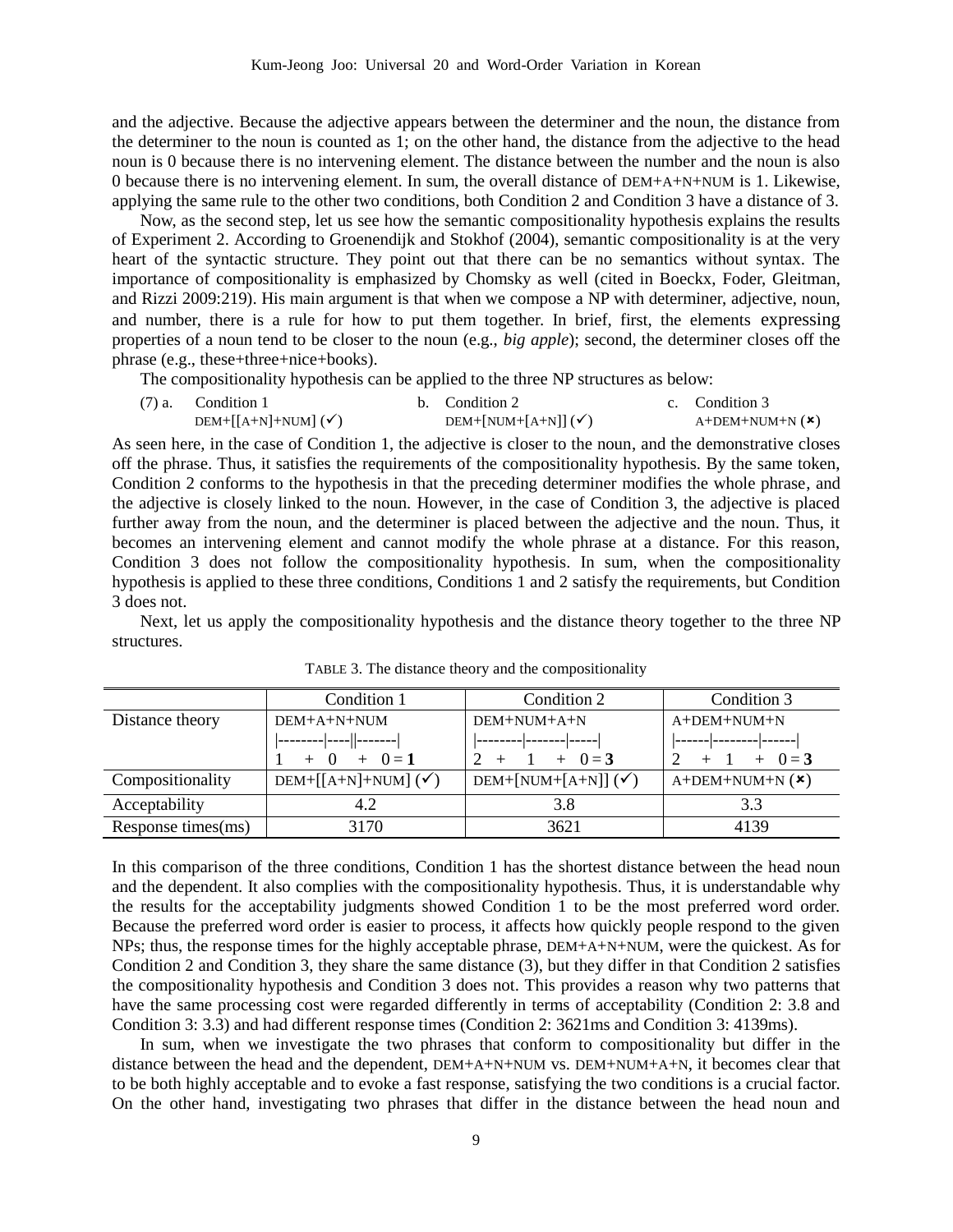and the adjective. Because the adjective appears between the determiner and the noun, the distance from the determiner to the noun is counted as 1; on the other hand, the distance from the adjective to the head noun is 0 because there is no intervening element. The distance between the number and the noun is also 0 because there is no intervening element. In sum, the overall distance of DEM+A+N+NUM is 1. Likewise, applying the same rule to the other two conditions, both Condition 2 and Condition 3 have a distance of 3.

Now, as the second step, let us see how the semantic compositionality hypothesis explains the results of Experiment 2. According to Groenendijk and Stokhof (2004), semantic compositionality is at the very heart of the syntactic structure. They point out that there can be no semantics without syntax. The importance of compositionality is emphasized by Chomsky as well (cited in Boeckx, Foder, Gleitman, and Rizzi 2009:219). His main argument is that when we compose a NP with determiner, adjective, noun, and number, there is a rule for how to put them together. In brief, first, the elements expressing properties of a noun tend to be closer to the noun (e.g., *big apple*); second, the determiner closes off the phrase (e.g., these+three+nice+books).

The compositionality hypothesis can be applied to the three NP structures as below:

| $(7)$ a. Condition 1               | b. Condition 2                 | c. Condition 3    |
|------------------------------------|--------------------------------|-------------------|
| $DEM+[[A+N]+NUM]$ ( $\checkmark$ ) | DEM+[NUM+[A+N]] $(\checkmark)$ | $A+DEM+NUM+N (x)$ |

As seen here, in the case of Condition 1, the adjective is closer to the noun, and the demonstrative closes off the phrase. Thus, it satisfies the requirements of the compositionality hypothesis. By the same token, Condition 2 conforms to the hypothesis in that the preceding determiner modifies the whole phrase, and the adjective is closely linked to the noun. However, in the case of Condition 3, the adjective is placed further away from the noun, and the determiner is placed between the adjective and the noun. Thus, it becomes an intervening element and cannot modify the whole phrase at a distance. For this reason, Condition 3 does not follow the compositionality hypothesis. In sum, when the compositionality hypothesis is applied to these three conditions, Conditions 1 and 2 satisfy the requirements, but Condition 3 does not.

Next, let us apply the compositionality hypothesis and the distance theory together to the three NP structures.

|                    | Condition 1                    | Condition 2                    | Condition 3         |
|--------------------|--------------------------------|--------------------------------|---------------------|
| Distance theory    | DEM+A+N+NUM                    | DEM+NUM+A+N                    | A+DEM+NUM+N         |
|                    | ----- ----  -------            | $--- ----- ----- ----- $       |                     |
|                    | $+ 0 = 1$<br>$+$ 0             | $+ 0 = 3$                      | $+ 0 = 3$           |
| Compositionality   | DEM+[[A+N]+NUM] $(\checkmark)$ | DEM+[NUM+[A+N]] $(\checkmark)$ | $A+DEM+NUM+N$ $(*)$ |
| Acceptability      | 4.2                            | 3.8                            | 3.3                 |
| Response times(ms) | 3170                           | 3621                           | 4139                |

TABLE 3. The distance theory and the compositionality

In this comparison of the three conditions, Condition 1 has the shortest distance between the head noun and the dependent. It also complies with the compositionality hypothesis. Thus, it is understandable why the results for the acceptability judgments showed Condition 1 to be the most preferred word order. Because the preferred word order is easier to process, it affects how quickly people respond to the given NPs; thus, the response times for the highly acceptable phrase, DEM+A+N+NUM, were the quickest. As for Condition 2 and Condition 3, they share the same distance (3), but they differ in that Condition 2 satisfies the compositionality hypothesis and Condition 3 does not. This provides a reason why two patterns that have the same processing cost were regarded differently in terms of acceptability (Condition 2: 3.8 and Condition 3: 3.3) and had different response times (Condition 2: 3621ms and Condition 3: 4139ms).

In sum, when we investigate the two phrases that conform to compositionality but differ in the distance between the head and the dependent, DEM+A+N+NUM vs. DEM+NUM+A+N, it becomes clear that to be both highly acceptable and to evoke a fast response, satisfying the two conditions is a crucial factor. On the other hand, investigating two phrases that differ in the distance between the head noun and